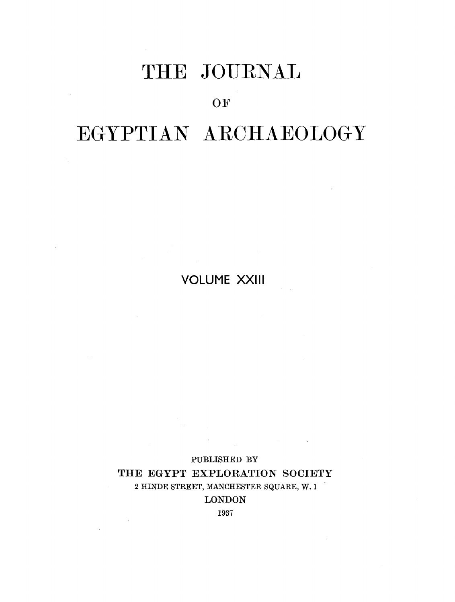# THE JOURNAL

## OF

# EGYPTIAN ARCHAEOLOGY

VOLUME XXIII

**PUBLISHED BY** THE EGYPT EXPLORATION SOCIETY **2 HLNDE STREET, MANCHESTER SQUARE, W. 1**  LONDON

**1937** 

 $\sim$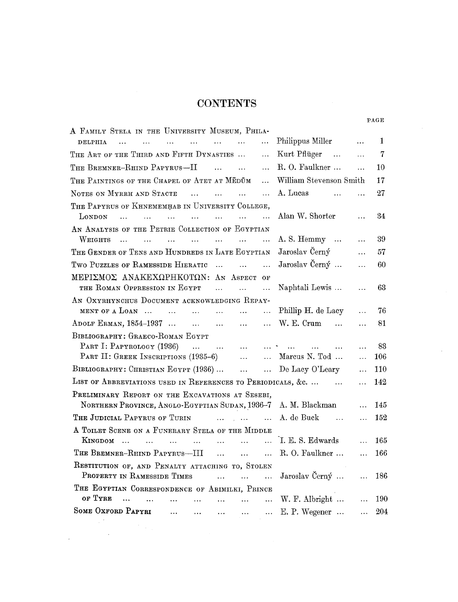## **CONTENTS**

| A FAMILY STELA IN THE UNIVERSITY MUSEUM, PHILA-                                         |           |                       |            |            |                      |                               |              |                            |            |     |
|-----------------------------------------------------------------------------------------|-----------|-----------------------|------------|------------|----------------------|-------------------------------|--------------|----------------------------|------------|-----|
| <b>DELPHIA</b>                                                                          |           |                       |            |            |                      |                               | .            | Philippus Miller           | $\cdots$   | 1   |
| THE ART OF THE THIRD AND FIFTH DYNASTIES                                                |           |                       |            |            |                      |                               | .            | Kurt Pflüger<br>$\sim 100$ | $\ddotsc$  | 7   |
| THE BREMNER-RHIND PAPYRUS-II                                                            |           |                       |            |            | $\ddot{\phantom{a}}$ |                               | $\ddotsc$    | R. O. Faulkner             | $\ddotsc$  | 10  |
| THE PAINTINGS OF THE CHAPEL OF ATET AT MEDUM                                            |           |                       |            |            |                      |                               | $\ddotsc$    | William Stevenson Smith    |            | 17  |
| NOTES ON MYRRH AND STACTE                                                               |           |                       |            | $\dddotsc$ | $\dddotsc$           | $\ddotsc$                     | $\ddotsc$    | A. Lucas<br>$\ddotsc$      | $\ddotsc$  | 27  |
| THE PAPYRUS OF KHNEMEMHAB IN UNIVERSITY COLLEGE,                                        |           |                       |            |            |                      |                               |              |                            |            |     |
| LONDON                                                                                  | $\ddotsc$ | $\ddotsc$             | $\ddotsc$  |            |                      | $\ddotsc$                     | $\ddotsc$    | Alan W. Shorter            | $\cdots$   | 34  |
| AN ANALYSIS OF THE PETRIE COLLECTION OF EGYPTIAN<br>WEIGHTS                             |           |                       |            | $\ddotsc$  |                      |                               | $\ddotsc$    | A. S. Hemmy                |            | 39  |
| THE GENDER OF TENS AND HUNDREDS IN LATE EGYPTIAN                                        |           |                       |            |            |                      |                               |              | Jaroslav Černý             | .          | 57  |
| TWO PUZZLES OF RAMESSIDE HIERATIC                                                       |           |                       |            |            |                      |                               |              | Jaroslav Černý             |            | 60  |
|                                                                                         |           |                       |            |            |                      | $\dddotsc$                    | $\dddotsc$   |                            | .          |     |
| ΜΕΡΙΣΜΟΣ ΑΝΑΚΕΧΩΡΗΚΟΤΩΝ: AN ASPECT OF<br>THE ROMAN OPPRESSION IN EGYPT                  |           |                       |            |            | $\sim$ $\sim$        | $\ddotsc$                     | $\ddotsc$    | Naphtali Lewis             |            | 63  |
| AN OXYRHYNCHUS DOCUMENT ACKNOWLEDGING REPAY-                                            |           |                       |            |            |                      |                               |              |                            |            |     |
| MENT OF A LOAN                                                                          |           |                       | $\dddotsc$ | $\ddotsc$  | $\ddotsc$            |                               | $\ddotsc$    | Phillip H. de Lacy         | .          | 76  |
| ADOLF ERMAN, 1854-1937                                                                  |           |                       |            | $\cdots$   | $\cdots$             | $\ddotsc$                     | $\ddotsc$    | W. E. Crum<br>$\dddotsc$   | .          | 81  |
| BIBLIOGRAPHY: GRAECO-ROMAN EGYPT                                                        |           |                       |            |            |                      |                               |              |                            |            |     |
| PART I: PAPYROLOGY (1936)                                                               |           |                       |            | $\ddotsc$  | $\dddotsc$           | $\dddot{\phantom{0}}$         | $\cdots$     | $\ddotsc$                  |            | 83  |
| PART II: GREEK INSCRIPTIONS (1935-6)                                                    |           |                       |            |            |                      | $\ddotsc$                     | $\cdots$     | Marcus N. Tod              | $\dddotsc$ | 106 |
| BIBLIOGRAPHY: CHRISTIAN EGYPT (1936)                                                    |           |                       |            |            |                      | $\ldots$                      | $\cdots$     | De Lacy O'Leary            | $\dddotsc$ | 110 |
| LIST OF ABBREVIATIONS USED IN REFERENCES TO PERIODICALS, &c.<br>$\sim 100$ km s $^{-1}$ |           |                       |            |            |                      |                               |              |                            | .          | 142 |
| PRELIMINARY REPORT ON THE EXCAVATIONS AT SESEBI,                                        |           |                       |            |            |                      |                               |              |                            |            |     |
| NORTHERN PROVINCE, ANGLO-EGYPTIAN SUDAN, 1936-7                                         |           |                       |            |            |                      |                               |              | A. M. Blackman             | .          | 145 |
| THE JUDICIAL PAPYRUS OF TURIN                                                           |           |                       |            |            | $\dddotsc$           | <b><i>Charles Company</i></b> | $\mathbf{1}$ | A. de Buck<br>$\ddotsc$    | $\ddotsc$  | 152 |
| A TOILET SCENE ON A FUNERARY STELA OF THE MIDDLE                                        |           |                       |            |            |                      |                               |              |                            |            |     |
| KINGDOM<br>THE BREMNER-RHIND PAPYRUS-III                                                |           |                       |            |            | $\cdots$             | $\ddotsc$                     | $\dddotsc$   | I. E. S. Edwards           | $\ddotsc$  | 165 |
|                                                                                         |           |                       |            |            | $\cdots$             | $\ddotsc$                     | $\ddotsc$    | R. O. Faulkner             | $\ddotsc$  | 166 |
| RESTITUTION OF, AND PENALTY ATTACHING TO, STOLEN<br>PROPERTY IN RAMESSIDE TIMES         |           |                       |            |            | $\dddotsc$           | $\ddotsc$                     | $\ddotsc$    | Jaroslav Černý             | $\cdots$   | 186 |
| THE EGYPTIAN CORRESPONDENCE OF ABIMILKI, PRINCE                                         |           |                       |            |            |                      |                               |              |                            |            |     |
| OF TYRE                                                                                 |           | $\dddot{\phantom{0}}$ | $\ddotsc$  | $\ddotsc$  | $\cdots$             | .                             | $\ddotsc$    | W. F. Albright             |            | 190 |
| SOME OXFORD PAPYRI                                                                      |           |                       | $\ddotsc$  | $\ddotsc$  | $\cdots$             | $\cdots$                      | $\ddotsc$    | E. P. Wegener              | $\cdots$   | 204 |
|                                                                                         |           |                       |            |            |                      |                               |              |                            |            |     |

 $\bar{z}$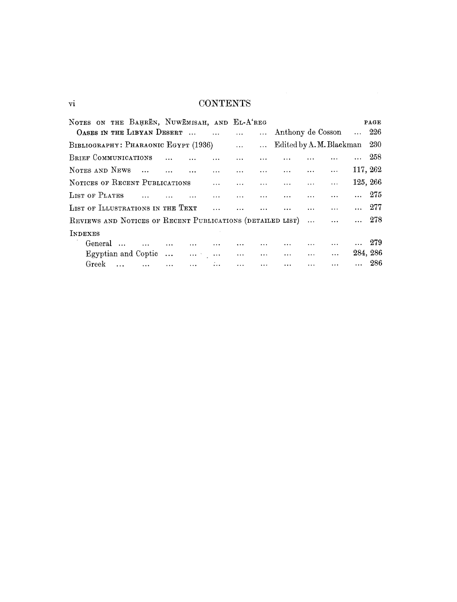## vi **CONTENTS**

| NOTES ON THE BAHREN, NUWEMISAH, AND EL-A'REG                                     |  |  |                        |  |          | PAGE |
|----------------------------------------------------------------------------------|--|--|------------------------|--|----------|------|
| OASES IN THE LIBYAN DESERT                                                       |  |  | Anthony de Cosson  226 |  |          |      |
| BIBLIOGRAPHY: PHARAONIC EGYPT (1936)   Edited by A.M. Blackman                   |  |  |                        |  |          | -230 |
| BRIEF COMMUNICATIONS                                                             |  |  | 258                    |  |          |      |
|                                                                                  |  |  |                        |  | 117, 262 |      |
| NOTICES OF RECENT PUBLICATIONS                                                   |  |  |                        |  | 125, 266 |      |
|                                                                                  |  |  |                        |  |          |      |
| LIST OF LLUSTRATIONS IN THE TEXT         277                                     |  |  |                        |  |          |      |
| REVIEWS AND NOTICES OF RECENT PUBLICATIONS (DETAILED LIST)    278                |  |  |                        |  |          |      |
| INDEXES                                                                          |  |  |                        |  |          |      |
|                                                                                  |  |  |                        |  |          |      |
| Egyptian and Coptic $\ldots$ and $\ldots$ and $\ldots$ and $\ldots$ and $\ldots$ |  |  |                        |  | 284, 286 |      |
|                                                                                  |  |  |                        |  |          |      |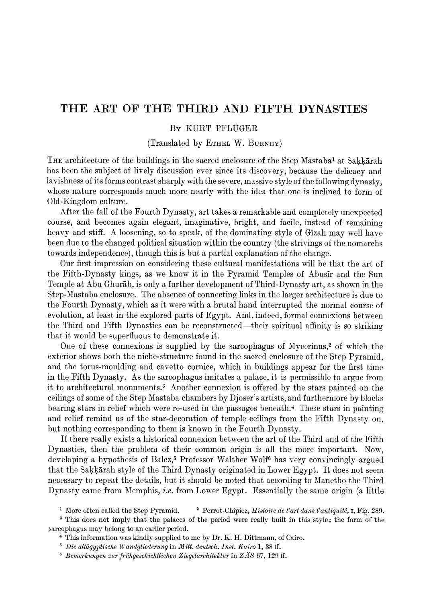### **THE ART OF THE THIRD AND FIFTH DYNASTIES**

### BY KURT PFLUGER

#### (Translated by ETHEL W. BURNEY)

THE architecture of the buildings in the sacred enclosure of the Step Mastaba<sup>1</sup> at Sakkarah has been the subject of lively discussion ever since its discovery, because the delicacy and lavishness of its forms contrast sharply with the severe, massive style of the following dynasty, whose nature corresponds much more nearly with the idea that one is inclined to form of Old-Kingdom culture.

After the fall of the Fourth Dynasty, art takes a remarkable and completely unexpected course, and becomes again elegant, imaginative, bright, and facile, instead of remaining heavy and stiff. A loosening, so to speak, of the dominating style of Gizah may well have been due to the changed political situation within the country (the strivings of the nomarchs towards independence), though this is but a partial explanation of the change.

Our first impression on considering these cultural manifestations will be that the art of the Fifth-Dynasty kings, as we know it in the Pyramid Temples of Abusir and the Sun Temple at Abu Ghurab, is only a further development of Third-Dynasty art, as shown in the Step-Mastaba enclosure. The absence of connecting links in the larger architecture is due to the Fourth Dynasty, which as it were with a brutal hand interrupted the normal course of evolution, at least in the explored parts of Egypt. And, indeed, formal connexions between the Third and Fifth Dynasties can be reconstructed-their spiritual affinity is so strikinq that it would be superfluous to demonstrate it.

One of these connexions is supplied by the sarcophagus of  $Mycerinus<sup>3</sup>$  of which the exterior shows both the niche-structure found in the sacred enclosure of the Step Pyramid, and the torus-moulding and caretto cornice, which in buildings appear for the first time in the Fifth Dynasty. As the sarcophagus imitates a palace, it is permissible to argue from it to architectural monuments.<sup>3</sup> Another connexion is offered by the stars painted on the ceilings of some of the Step Mastaba chambers by Djoser's artists, and furthermore by blocks bearing stars in relief which were re-used in the passages beneath. $4$  These stars in painting and relief remind us of the star-decoration of temple ceilings froni the Fifth Dynasty on, but nothing corresponding to them is known in the Fourth Dynasty.

If there really exists a historical connexion between the art of the Third and of the Fifth Dynasties, then the problem of their common origin is all the more important. Now, developing a hypothesis of Balcz,<sup>5</sup> Professor Walther Wolf<sup>6</sup> has very convincingly argued that the Sakkarah style of the Third Dynasty originated in Lower Egypt. It does not seem necessary to repeat the details, but it should be noted that according to Manetho the Third Dynasty came from Memphis, *i.e.* from Lower Egypt. Essentially the same origin (a little

<sup>1</sup> More often called the Step Pyramid. <sup>2</sup> Perrot-Chipiez, *Histoire de l'art dans l'antiquité*, **1**, Fig. 289.

<sup>3</sup> This does not imply that the palaces of the period were really built in this style; the form of the sarcophagus may belong to an earlier period.

<sup>4</sup> This information was kindly supplied to me by Dr. K. H. Dittmann, of Cairo.

 $^5$  *Die altägyptische Wandgliederung* in *Mitt. deutsch. Inst. Kairo* 1, 38 ff.

<sup>6</sup> Bemerkungen zur frühgeschichtlichen Ziegelarchitektur in ZÄS 67, 129 ff.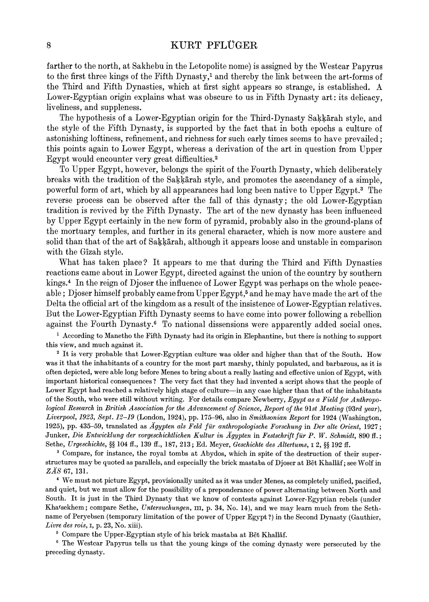### 8 KURT PFLÜGER

farther to the north, at Sakhebu in the Letopolite nome) is assigned by the Westcar Papyrus to the first three kings of the Fifth Dynasty,<sup>1</sup> and thereby the link between the art-forms of the Third and Fifth Dynasties, which at first sight appears so strange, is established. h Lower-Egyptian origin explains what mas obscure to us in Fifth Dynasty art: its delicacy, liveliness, and suppleness.

The hypothesis of a Lower-Egyptian origin for the Third-Dynasty Sakkgrah style, and the style of the Fifth Dynasty, is supported by the fact that in both epochs a culture of astonishing loftiness, refinement, and richness for such early times seems to have prevailed; this points again to Lower Egypt, whereas a derivation of the art in question from Upper Egypt would encounter very great difficulties. $2$ 

To Upper Egypt, however, belongs the spirit of the Fourth Dynasty, which deliberately breaks with the tradition of the Sakkgrah style, and promotes the ascendancy of a simple, powerful form of art, which by all appearances had long been native to Upper Egypt.<sup>3</sup> The reverse process can be observed after the fall of this dynasty; the old Lower-Egyptian tradition is revived by the Fifth Dynasty. The art of the new dynasty has been influenced by Upper Egypt certainly in the new form of pyramid, probably also in the ground-plans of the mortuary temples, and further in its general character, which is now more austere and solid than that of the art of Sakkarah, although it appears loose and unstable in comparison with the Gizah style.

What has taken place? It appears to me that during the Third and Fifth Dynasties reactions came about in Lower Egypt, directed against the union of the country by southern kings.4 In the reign of Djoser the influence of Lower Egypt was perhaps on the whole peaceable; Djoser himself probably came from Upper Egypt,<sup>5</sup> and he may have made the art of the Delta the official art of the kingdom as a result of the insistence of Lower-Egyptian relatives. But the Lower-Egyptian Fifth Dynasty seems to have come into power following a rebellion against the Fourth Dynasty.<sup>6</sup> To national dissensions were apparently added social ones.

<sup>1</sup> According to Manetho the Fifth Dynasty had its origin in Elephantine, but there is nothing to support this view, and much against it.

<sup>2</sup> It is very probable that Lower-Egyptian culture was older and higher than that of the South. How was it that the inhabitants of a country for the most part marshy, thinly populated, and barbarous, as it is often depicted, were able long before Menes to bring about a really lasting and effective union of Egypt, with important historical consequences? The very fact that they had invented a script shows that the people of Lower Egypt had reached a relatively high stage of culture—in any case higher than that of the inhabitants of the South, who were still without writing. For details compare Newberry, *Egypt as a Field for Anthropological Research in British Association for the Advancement of Science, Report of the 91st Meeting (93rd year), Liverpool, 1923, Bept. 12-19* (London, *1924),*pp. *175-96,* also in *Smithsonzan Report* for *1924* (Washington, *1925),* pp. *435-59,* translated as *Agypten als Feld fur anthropologische Forschung* in *Der alte Orient, 1927* ; Junker, **Die** *Entwicklung der corgeschichtlichen Kultur in Agypten* in *Festschrift fnr* P. IP. *Schmidt, 890* ff. ; Sethe, *I'rgeschichte,* \$5 *104* ff., *139* ff., *187, 213;* Ed. Meyer, *Geschichte des Alterturns,* I 2, §\$ *192* ff.

<sup>3</sup> Compare, for instance, the royal tombs at Abydos, which in spite of the destruction of their superstructures may be quoted as parallels, and especially the brick mastaba of Djoser at Bet Khallaf; see Wolf in *ZA'S* 67, *131.* 

We must not picture Egypt, provisionally united as it was under Menes, as completely unified, pacified, and quiet, but we must allow for the possibility of a preponderance of power alternating between North and South. It is just in the Third Dynasty that we know of contests against Lower-Egyptian rebels (under Khacsekhem; compare Sethe, *Cntersuchungen,* 111, p. *34,* KO. *14),* and we may learn much from the Sethname of Peryebsen (temporary limitation of the poner of Upper Egypt ?) in the Second Dynasty (Gauthier, *Licre des rois,* I, p. *23,* No. xiii).

Compare the Upper-Egyptian style of his brick mastaba at Bet Khallaf.

The Westcar Papyrus tells us that the young kings of the coming dynasty were persecuted by the preceding dynasty.